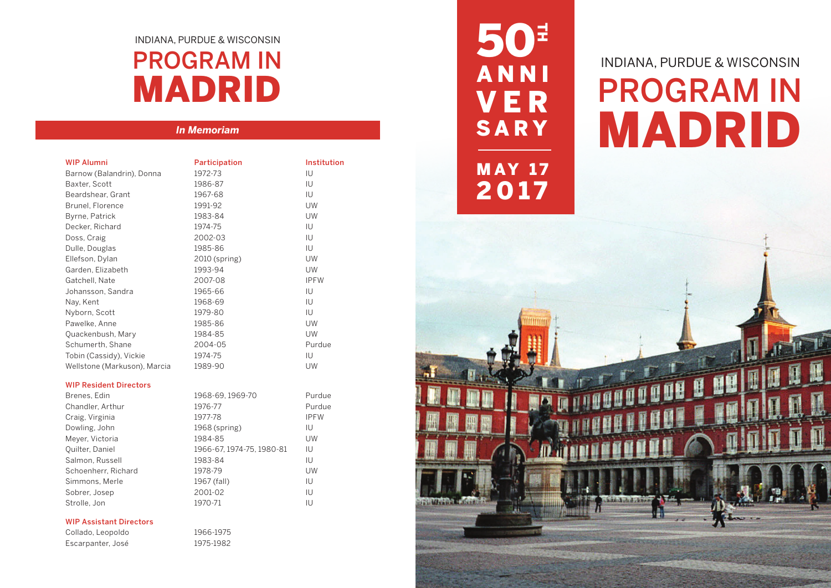# INDIANA, PURDUE & WISCONSIN PROGRAM IN MADRID

## *In Memoriam*

| <b>WIP Alumni</b>            | Participation | Institution |
|------------------------------|---------------|-------------|
| Barnow (Balandrin), Donna    | 1972-73       | IU          |
| Baxter, Scott                | 1986-87       | ТU          |
| Beardshear, Grant            | 1967-68       | IU          |
| Brunel, Florence             | 1991-92       | UW          |
| Byrne, Patrick               | 1983-84       | UW          |
| Decker, Richard              | 1974-75       | IU          |
| Doss, Craig                  | 2002-03       | IU          |
| Dulle, Douglas               | 1985-86       | ТU          |
| Ellefson, Dylan              | 2010 (spring) | UW          |
| Garden, Elizabeth            | 1993-94       | UW          |
| Gatchell, Nate               | 2007-08       | <b>IPFW</b> |
| Johansson, Sandra            | 1965-66       | ТU          |
| Nay, Kent                    | 1968-69       | ТU          |
| Nyborn, Scott                | 1979-80       | IU          |
| Pawelke, Anne                | 1985-86       | <b>UW</b>   |
| Quackenbush, Mary            | 1984-85       | UW          |
| Schumerth, Shane             | 2004-05       | Purdue      |
| Tobin (Cassidy), Vickie      | 1974-75       | IU          |
| Wellstone (Markuson), Marcia | 1989-90       | UW          |

## WIP Resident Directors

| Brenes, Edin        | 1968-69, 1969-70          | Purdue      |
|---------------------|---------------------------|-------------|
| Chandler, Arthur    | 1976-77                   | Purdue      |
| Craig, Virginia     | 1977-78                   | <b>IPFW</b> |
| Dowling, John       | 1968 (spring)             | IU          |
| Meyer, Victoria     | 1984-85                   | UW          |
| Quilter, Daniel     | 1966-67, 1974-75, 1980-81 | IU          |
| Salmon, Russell     | 1983-84                   | IU          |
| Schoenherr, Richard | 1978-79                   | UW          |
| Simmons, Merle      | 1967 (fall)               | ТU          |
| Sobrer, Josep       | 2001-02                   | IU          |
| Strolle, Jon        | 1970-71                   | IU          |

### WIP Assistant Directors

Collado, Leopoldo 1966-1975 Escarpanter, José 1975-1982

50<sup>1</sup><br>ANNI VER SARY MAY 17 2017

# INDIANA, PURDUE & WISCONSIN PROGRAM IN MADRID